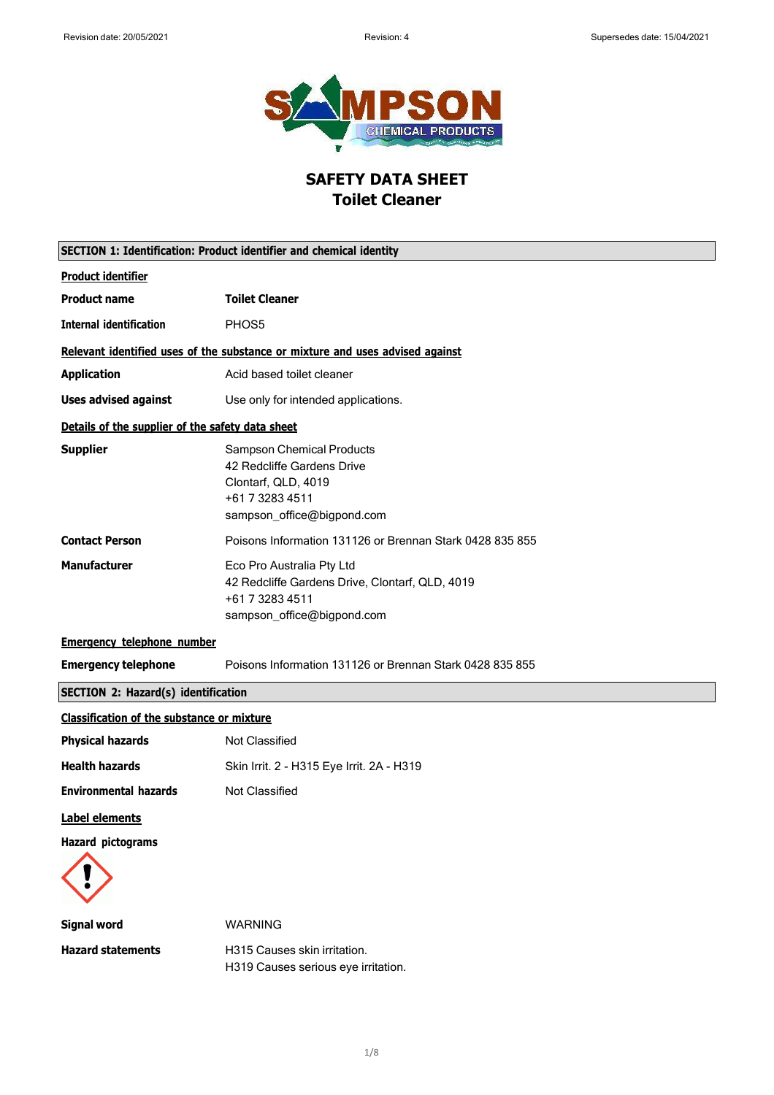

# **SAFETY DATA SHEET Toilet Cleaner**

|                                                   | SECTION 1: Identification: Product identifier and chemical identity                                                                    |
|---------------------------------------------------|----------------------------------------------------------------------------------------------------------------------------------------|
| <b>Product identifier</b>                         |                                                                                                                                        |
| <b>Product name</b>                               | <b>Toilet Cleaner</b>                                                                                                                  |
| <b>Internal identification</b>                    | PHOS5                                                                                                                                  |
|                                                   | Relevant identified uses of the substance or mixture and uses advised against                                                          |
| <b>Application</b>                                | Acid based toilet cleaner                                                                                                              |
| <b>Uses advised against</b>                       | Use only for intended applications.                                                                                                    |
| Details of the supplier of the safety data sheet  |                                                                                                                                        |
| <b>Supplier</b>                                   | <b>Sampson Chemical Products</b><br>42 Redcliffe Gardens Drive<br>Clontarf, QLD, 4019<br>+61 7 3283 4511<br>sampson_office@bigpond.com |
| <b>Contact Person</b>                             | Poisons Information 131126 or Brennan Stark 0428 835 855                                                                               |
| <b>Manufacturer</b>                               | Eco Pro Australia Pty Ltd<br>42 Redcliffe Gardens Drive, Clontarf, QLD, 4019<br>+61 7 3283 4511<br>sampson_office@bigpond.com          |
| <b>Emergency telephone number</b>                 |                                                                                                                                        |
| <b>Emergency telephone</b>                        | Poisons Information 131126 or Brennan Stark 0428 835 855                                                                               |
| <b>SECTION 2: Hazard(s) identification</b>        |                                                                                                                                        |
| <b>Classification of the substance or mixture</b> |                                                                                                                                        |
| <b>Physical hazards</b>                           | Not Classified                                                                                                                         |
| <b>Health hazards</b>                             | Skin Irrit. 2 - H315 Eye Irrit. 2A - H319                                                                                              |
| <b>Environmental hazards</b>                      | <b>Not Classified</b>                                                                                                                  |
| <b>Label elements</b>                             |                                                                                                                                        |
| <b>Hazard pictograms</b>                          |                                                                                                                                        |
| <b>Signal word</b>                                | <b>WARNING</b>                                                                                                                         |
| <b>Hazard statements</b>                          | H315 Causes skin irritation.<br>H319 Causes serious eye irritation.                                                                    |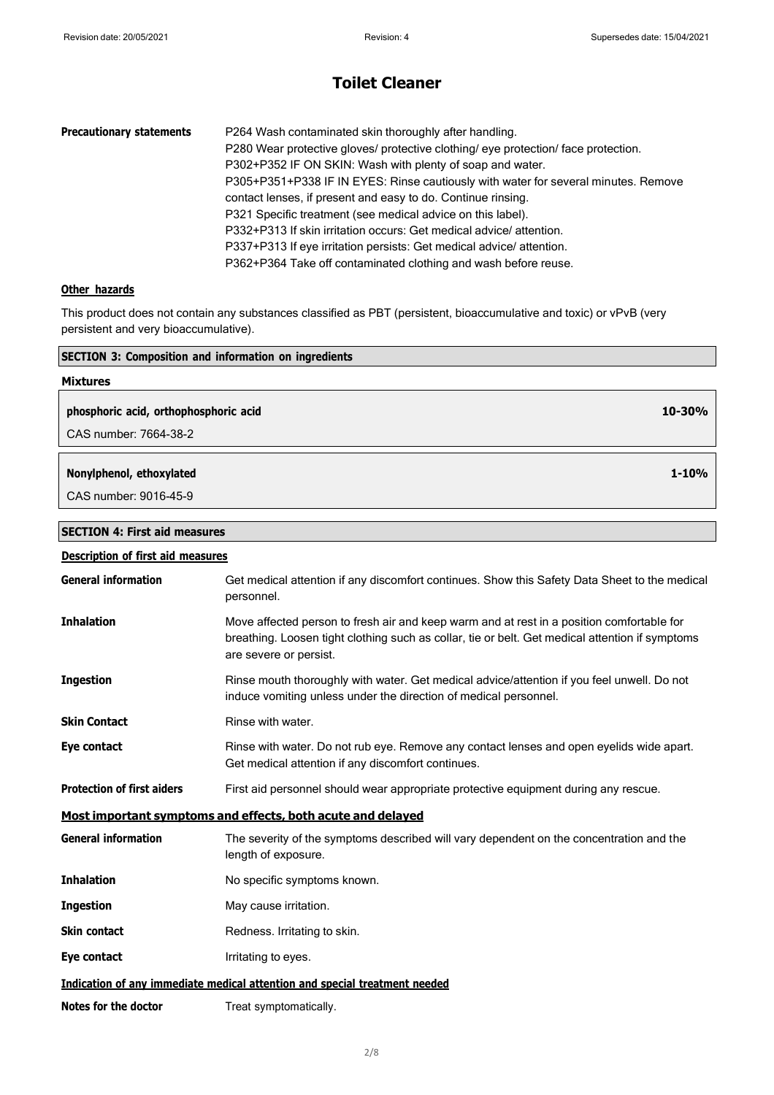| <b>Precautionary statements</b> | P264 Wash contaminated skin thoroughly after handling.                             |
|---------------------------------|------------------------------------------------------------------------------------|
|                                 | P280 Wear protective gloves/ protective clothing/ eye protection/ face protection. |
|                                 | P302+P352 IF ON SKIN: Wash with plenty of soap and water.                          |
|                                 | P305+P351+P338 IF IN EYES: Rinse cautiously with water for several minutes. Remove |
|                                 | contact lenses, if present and easy to do. Continue rinsing.                       |
|                                 | P321 Specific treatment (see medical advice on this label).                        |
|                                 | P332+P313 If skin irritation occurs: Get medical advice/attention.                 |
|                                 | P337+P313 If eye irritation persists: Get medical advice/attention.                |
|                                 | P362+P364 Take off contaminated clothing and wash before reuse.                    |

### **Other hazards**

This product does not contain any substances classified as PBT (persistent, bioaccumulative and toxic) or vPvB (very persistent and very bioaccumulative).

| <b>SECTION 3: Composition and information on ingredients</b> |           |
|--------------------------------------------------------------|-----------|
| <b>Mixtures</b>                                              |           |
| phosphoric acid, orthophosphoric acid                        | 10-30%    |
| CAS number: 7664-38-2                                        |           |
| Nonylphenol, ethoxylated                                     | $1 - 10%$ |
| CAS number: 9016-45-9                                        |           |
|                                                              |           |
| <b>SECTION 4: First aid measures</b>                         |           |

| Description of first aid measures |                                                                                                                                                                                                                        |
|-----------------------------------|------------------------------------------------------------------------------------------------------------------------------------------------------------------------------------------------------------------------|
| <b>General information</b>        | Get medical attention if any discomfort continues. Show this Safety Data Sheet to the medical<br>personnel.                                                                                                            |
| <b>Inhalation</b>                 | Move affected person to fresh air and keep warm and at rest in a position comfortable for<br>breathing. Loosen tight clothing such as collar, tie or belt. Get medical attention if symptoms<br>are severe or persist. |
| <b>Ingestion</b>                  | Rinse mouth thoroughly with water. Get medical advice/attention if you feel unwell. Do not<br>induce vomiting unless under the direction of medical personnel.                                                         |
| <b>Skin Contact</b>               | Rinse with water.                                                                                                                                                                                                      |
| Eye contact                       | Rinse with water. Do not rub eye. Remove any contact lenses and open eyelids wide apart.<br>Get medical attention if any discomfort continues.                                                                         |
| <b>Protection of first aiders</b> | First aid personnel should wear appropriate protective equipment during any rescue.                                                                                                                                    |
|                                   | Most important symptoms and effects, both acute and delayed                                                                                                                                                            |
| <b>General information</b>        | The severity of the symptoms described will vary dependent on the concentration and the<br>length of exposure.                                                                                                         |
| <b>Inhalation</b>                 | No specific symptoms known.                                                                                                                                                                                            |
| <b>Ingestion</b>                  | May cause irritation.                                                                                                                                                                                                  |
| <b>Skin contact</b>               | Redness. Irritating to skin.                                                                                                                                                                                           |
| Eye contact                       | Irritating to eyes.                                                                                                                                                                                                    |
|                                   | Indication of any immediate medical attention and special treatment needed                                                                                                                                             |
| Notes for the doctor              | Treat symptomatically.                                                                                                                                                                                                 |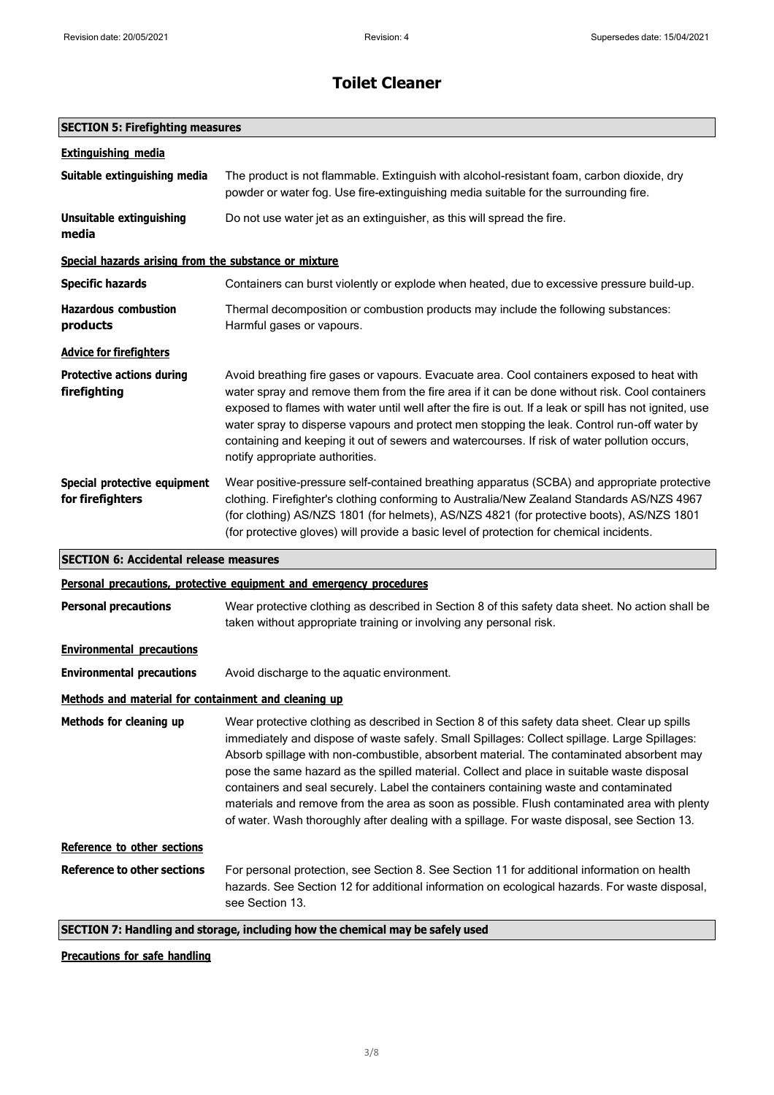## **SECTION 5: Firefighting measures**

| <b>Extinguishing media</b>                            |                                                                                                                                                                                                                                                                                                                                                                                                                                                                                                                                                                                                                                                                                |
|-------------------------------------------------------|--------------------------------------------------------------------------------------------------------------------------------------------------------------------------------------------------------------------------------------------------------------------------------------------------------------------------------------------------------------------------------------------------------------------------------------------------------------------------------------------------------------------------------------------------------------------------------------------------------------------------------------------------------------------------------|
| Suitable extinguishing media                          | The product is not flammable. Extinguish with alcohol-resistant foam, carbon dioxide, dry<br>powder or water fog. Use fire-extinguishing media suitable for the surrounding fire.                                                                                                                                                                                                                                                                                                                                                                                                                                                                                              |
| <b>Unsuitable extinguishing</b><br>media              | Do not use water jet as an extinguisher, as this will spread the fire.                                                                                                                                                                                                                                                                                                                                                                                                                                                                                                                                                                                                         |
| Special hazards arising from the substance or mixture |                                                                                                                                                                                                                                                                                                                                                                                                                                                                                                                                                                                                                                                                                |
| <b>Specific hazards</b>                               | Containers can burst violently or explode when heated, due to excessive pressure build-up.                                                                                                                                                                                                                                                                                                                                                                                                                                                                                                                                                                                     |
| <b>Hazardous combustion</b><br>products               | Thermal decomposition or combustion products may include the following substances:<br>Harmful gases or vapours.                                                                                                                                                                                                                                                                                                                                                                                                                                                                                                                                                                |
| <b>Advice for firefighters</b>                        |                                                                                                                                                                                                                                                                                                                                                                                                                                                                                                                                                                                                                                                                                |
| <b>Protective actions during</b><br>firefighting      | Avoid breathing fire gases or vapours. Evacuate area. Cool containers exposed to heat with<br>water spray and remove them from the fire area if it can be done without risk. Cool containers<br>exposed to flames with water until well after the fire is out. If a leak or spill has not ignited, use<br>water spray to disperse vapours and protect men stopping the leak. Control run-off water by<br>containing and keeping it out of sewers and watercourses. If risk of water pollution occurs,<br>notify appropriate authorities.                                                                                                                                       |
| Special protective equipment<br>for firefighters      | Wear positive-pressure self-contained breathing apparatus (SCBA) and appropriate protective<br>clothing. Firefighter's clothing conforming to Australia/New Zealand Standards AS/NZS 4967<br>(for clothing) AS/NZS 1801 (for helmets), AS/NZS 4821 (for protective boots), AS/NZS 1801<br>(for protective gloves) will provide a basic level of protection for chemical incidents.                                                                                                                                                                                                                                                                                             |
|                                                       |                                                                                                                                                                                                                                                                                                                                                                                                                                                                                                                                                                                                                                                                                |
| <b>SECTION 6: Accidental release measures</b>         |                                                                                                                                                                                                                                                                                                                                                                                                                                                                                                                                                                                                                                                                                |
|                                                       | Personal precautions, protective equipment and emergency procedures                                                                                                                                                                                                                                                                                                                                                                                                                                                                                                                                                                                                            |
| <b>Personal precautions</b>                           | Wear protective clothing as described in Section 8 of this safety data sheet. No action shall be<br>taken without appropriate training or involving any personal risk.                                                                                                                                                                                                                                                                                                                                                                                                                                                                                                         |
| <b>Environmental precautions</b>                      |                                                                                                                                                                                                                                                                                                                                                                                                                                                                                                                                                                                                                                                                                |
| <b>Environmental precautions</b>                      | Avoid discharge to the aquatic environment.                                                                                                                                                                                                                                                                                                                                                                                                                                                                                                                                                                                                                                    |
| Methods and material for containment and cleaning up  |                                                                                                                                                                                                                                                                                                                                                                                                                                                                                                                                                                                                                                                                                |
| Methods for cleaning up                               | Wear protective clothing as described in Section 8 of this safety data sheet. Clear up spills<br>immediately and dispose of waste safely. Small Spillages: Collect spillage. Large Spillages:<br>Absorb spillage with non-combustible, absorbent material. The contaminated absorbent may<br>pose the same hazard as the spilled material. Collect and place in suitable waste disposal<br>containers and seal securely. Label the containers containing waste and contaminated<br>materials and remove from the area as soon as possible. Flush contaminated area with plenty<br>of water. Wash thoroughly after dealing with a spillage. For waste disposal, see Section 13. |
| Reference to other sections                           |                                                                                                                                                                                                                                                                                                                                                                                                                                                                                                                                                                                                                                                                                |
| <b>Reference to other sections</b>                    | For personal protection, see Section 8. See Section 11 for additional information on health<br>hazards. See Section 12 for additional information on ecological hazards. For waste disposal,<br>see Section 13.                                                                                                                                                                                                                                                                                                                                                                                                                                                                |

### **Precautions for safe handling**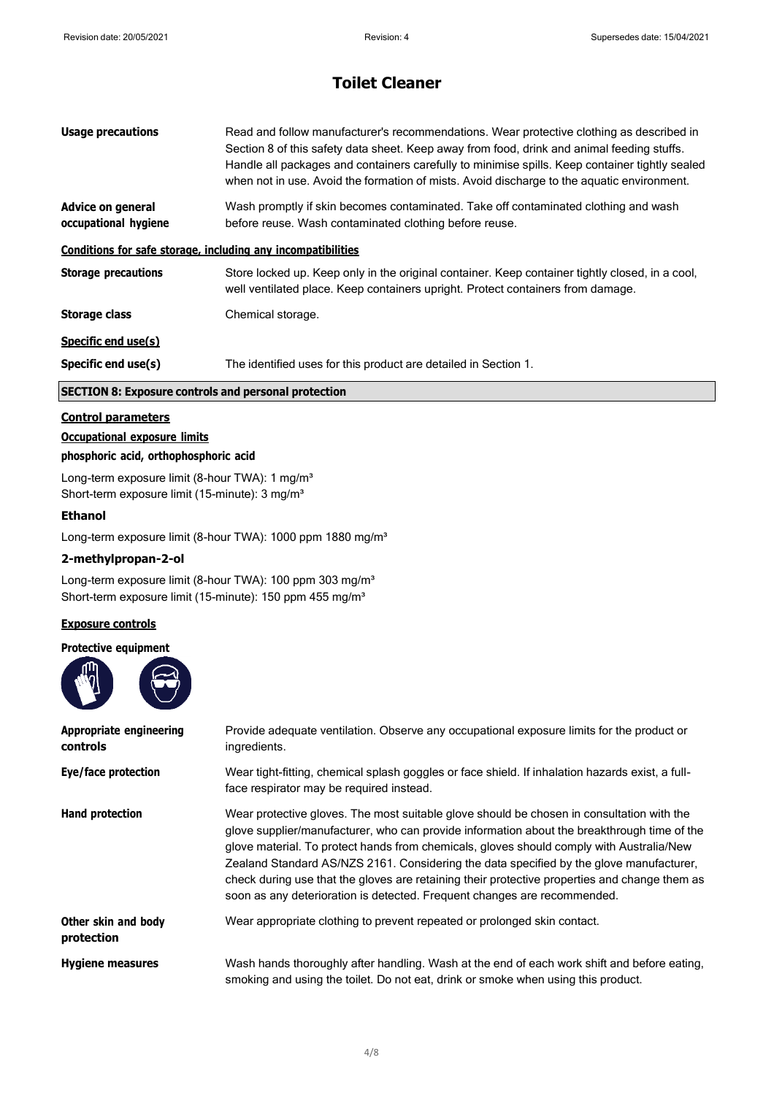| <b>Usage precautions</b>                                     | Read and follow manufacturer's recommendations. Wear protective clothing as described in<br>Section 8 of this safety data sheet. Keep away from food, drink and animal feeding stuffs.<br>Handle all packages and containers carefully to minimise spills. Keep container tightly sealed<br>when not in use. Avoid the formation of mists. Avoid discharge to the aguatic environment. |
|--------------------------------------------------------------|----------------------------------------------------------------------------------------------------------------------------------------------------------------------------------------------------------------------------------------------------------------------------------------------------------------------------------------------------------------------------------------|
| Advice on general<br>occupational hygiene                    | Wash promptly if skin becomes contaminated. Take off contaminated clothing and wash<br>before reuse. Wash contaminated clothing before reuse.                                                                                                                                                                                                                                          |
| Conditions for safe storage, including any incompatibilities |                                                                                                                                                                                                                                                                                                                                                                                        |
| <b>Storage precautions</b>                                   | Store locked up. Keep only in the original container. Keep container tightly closed, in a cool,<br>well ventilated place. Keep containers upright. Protect containers from damage.                                                                                                                                                                                                     |
| <b>Storage class</b>                                         | Chemical storage.                                                                                                                                                                                                                                                                                                                                                                      |
| Specific end use(s)                                          |                                                                                                                                                                                                                                                                                                                                                                                        |
| Specific end use(s)                                          | The identified uses for this product are detailed in Section 1.                                                                                                                                                                                                                                                                                                                        |

### **SECTION 8: Exposure controls and personal protection**

#### **Control parameters**

### **Occupational exposure limits**

#### **phosphoric acid, orthophosphoric acid**

Long-term exposure limit (8-hour TWA): 1 mg/m<sup>3</sup> Short-term exposure limit (15-minute): 3 mg/m<sup>3</sup>

#### **Ethanol**

Long-term exposure limit (8-hour TWA): 1000 ppm 1880 mg/m<sup>3</sup>

#### **2-methylpropan-2-ol**

Long-term exposure limit (8-hour TWA): 100 ppm 303 mg/m<sup>3</sup> Short-term exposure limit (15-minute): 150 ppm 455 mg/m<sup>3</sup>

#### **Exposure controls**

#### **Protective equipment**



| <b>Appropriate engineering</b><br>controls | Provide adequate ventilation. Observe any occupational exposure limits for the product or<br>ingredients.                                                                                                                                                                                                                                                                                                                                                                                                                                                    |
|--------------------------------------------|--------------------------------------------------------------------------------------------------------------------------------------------------------------------------------------------------------------------------------------------------------------------------------------------------------------------------------------------------------------------------------------------------------------------------------------------------------------------------------------------------------------------------------------------------------------|
| Eye/face protection                        | Wear tight-fitting, chemical splash goggles or face shield. If inhalation hazards exist, a full-<br>face respirator may be required instead.                                                                                                                                                                                                                                                                                                                                                                                                                 |
| <b>Hand protection</b>                     | Wear protective gloves. The most suitable glove should be chosen in consultation with the<br>glove supplier/manufacturer, who can provide information about the breakthrough time of the<br>glove material. To protect hands from chemicals, gloves should comply with Australia/New<br>Zealand Standard AS/NZS 2161. Considering the data specified by the glove manufacturer,<br>check during use that the gloves are retaining their protective properties and change them as<br>soon as any deterioration is detected. Frequent changes are recommended. |
| Other skin and body<br>protection          | Wear appropriate clothing to prevent repeated or prolonged skin contact.                                                                                                                                                                                                                                                                                                                                                                                                                                                                                     |
| <b>Hygiene measures</b>                    | Wash hands thoroughly after handling. Wash at the end of each work shift and before eating,<br>smoking and using the toilet. Do not eat, drink or smoke when using this product.                                                                                                                                                                                                                                                                                                                                                                             |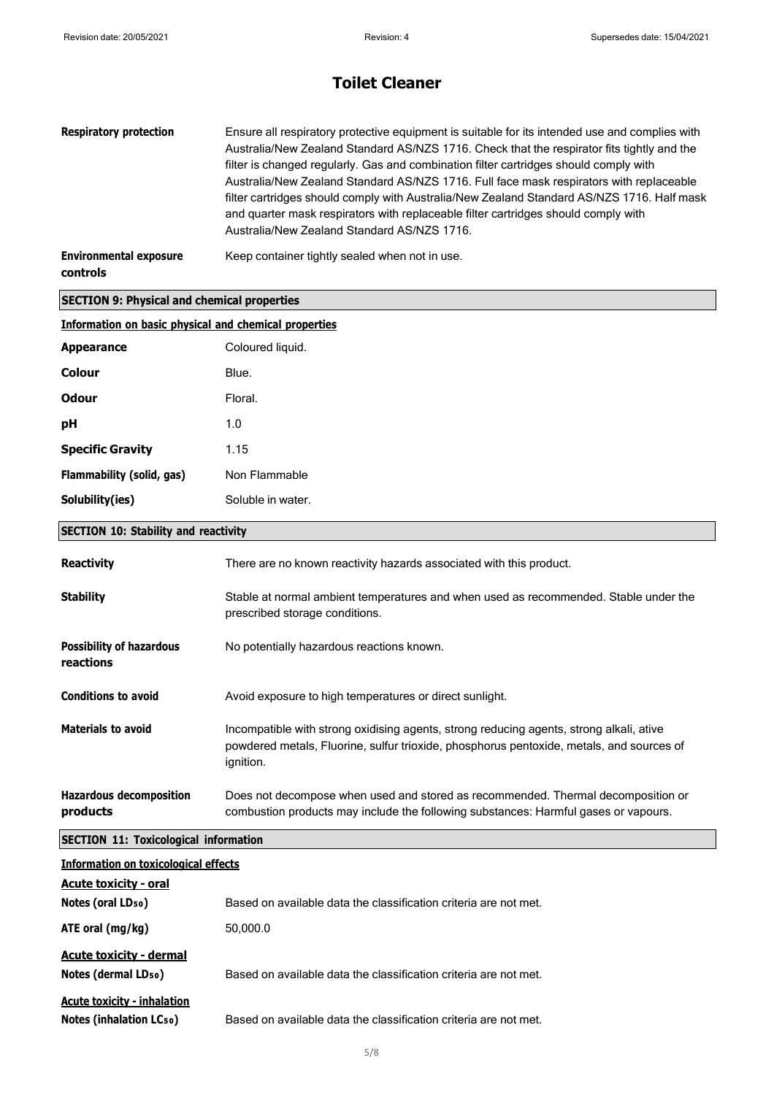| <b>Respiratory protection</b>                                      | Ensure all respiratory protective equipment is suitable for its intended use and complies with<br>Australia/New Zealand Standard AS/NZS 1716. Check that the respirator fits tightly and the<br>filter is changed regularly. Gas and combination filter cartridges should comply with<br>Australia/New Zealand Standard AS/NZS 1716. Full face mask respirators with replaceable<br>filter cartridges should comply with Australia/New Zealand Standard AS/NZS 1716. Half mask<br>and quarter mask respirators with replaceable filter cartridges should comply with<br>Australia/New Zealand Standard AS/NZS 1716. |
|--------------------------------------------------------------------|---------------------------------------------------------------------------------------------------------------------------------------------------------------------------------------------------------------------------------------------------------------------------------------------------------------------------------------------------------------------------------------------------------------------------------------------------------------------------------------------------------------------------------------------------------------------------------------------------------------------|
| <b>Environmental exposure</b><br><b>controls</b>                   | Keep container tightly sealed when not in use.                                                                                                                                                                                                                                                                                                                                                                                                                                                                                                                                                                      |
| <b>SECTION 9: Physical and chemical properties</b>                 |                                                                                                                                                                                                                                                                                                                                                                                                                                                                                                                                                                                                                     |
| <b>Information on basic physical and chemical properties</b>       |                                                                                                                                                                                                                                                                                                                                                                                                                                                                                                                                                                                                                     |
| <b>Appearance</b>                                                  | Coloured liquid.                                                                                                                                                                                                                                                                                                                                                                                                                                                                                                                                                                                                    |
| Colour                                                             | Blue.                                                                                                                                                                                                                                                                                                                                                                                                                                                                                                                                                                                                               |
| <b>Odour</b>                                                       | Floral.                                                                                                                                                                                                                                                                                                                                                                                                                                                                                                                                                                                                             |
| рH                                                                 | 1.0                                                                                                                                                                                                                                                                                                                                                                                                                                                                                                                                                                                                                 |
| <b>Specific Gravity</b>                                            | 1.15                                                                                                                                                                                                                                                                                                                                                                                                                                                                                                                                                                                                                |
| Flammability (solid, gas)                                          | Non Flammable                                                                                                                                                                                                                                                                                                                                                                                                                                                                                                                                                                                                       |
| Solubility(ies)                                                    | Soluble in water.                                                                                                                                                                                                                                                                                                                                                                                                                                                                                                                                                                                                   |
| <b>SECTION 10: Stability and reactivity</b>                        |                                                                                                                                                                                                                                                                                                                                                                                                                                                                                                                                                                                                                     |
| <b>Reactivity</b>                                                  | There are no known reactivity hazards associated with this product.                                                                                                                                                                                                                                                                                                                                                                                                                                                                                                                                                 |
| <b>Stability</b>                                                   | Stable at normal ambient temperatures and when used as recommended. Stable under the<br>prescribed storage conditions.                                                                                                                                                                                                                                                                                                                                                                                                                                                                                              |
| <b>Possibility of hazardous</b><br>reactions                       | No potentially hazardous reactions known.                                                                                                                                                                                                                                                                                                                                                                                                                                                                                                                                                                           |
| <b>Conditions to avoid</b>                                         | Avoid exposure to high temperatures or direct sunlight.                                                                                                                                                                                                                                                                                                                                                                                                                                                                                                                                                             |
| <b>Materials to avoid</b>                                          | Incompatible with strong oxidising agents, strong reducing agents, strong alkali, ative<br>powdered metals, Fluorine, sulfur trioxide, phosphorus pentoxide, metals, and sources of<br>ignition.                                                                                                                                                                                                                                                                                                                                                                                                                    |
| <b>Hazardous decomposition</b><br>products                         | Does not decompose when used and stored as recommended. Thermal decomposition or<br>combustion products may include the following substances: Harmful gases or vapours.                                                                                                                                                                                                                                                                                                                                                                                                                                             |
| <b>SECTION 11: Toxicological information</b>                       |                                                                                                                                                                                                                                                                                                                                                                                                                                                                                                                                                                                                                     |
| <b>Information on toxicological effects</b>                        |                                                                                                                                                                                                                                                                                                                                                                                                                                                                                                                                                                                                                     |
| <b>Acute toxicity - oral</b><br>Notes (oral LD <sub>50</sub> )     | Based on available data the classification criteria are not met.                                                                                                                                                                                                                                                                                                                                                                                                                                                                                                                                                    |
| ATE oral (mg/kg)                                                   | 50,000.0                                                                                                                                                                                                                                                                                                                                                                                                                                                                                                                                                                                                            |
|                                                                    |                                                                                                                                                                                                                                                                                                                                                                                                                                                                                                                                                                                                                     |
| <b>Acute toxicity - dermal</b><br>Notes (dermal LD <sub>50</sub> ) | Based on available data the classification criteria are not met.                                                                                                                                                                                                                                                                                                                                                                                                                                                                                                                                                    |
| <b>Acute toxicity - inhalation</b><br>Notes (inhalation LCso)      | Based on available data the classification criteria are not met.                                                                                                                                                                                                                                                                                                                                                                                                                                                                                                                                                    |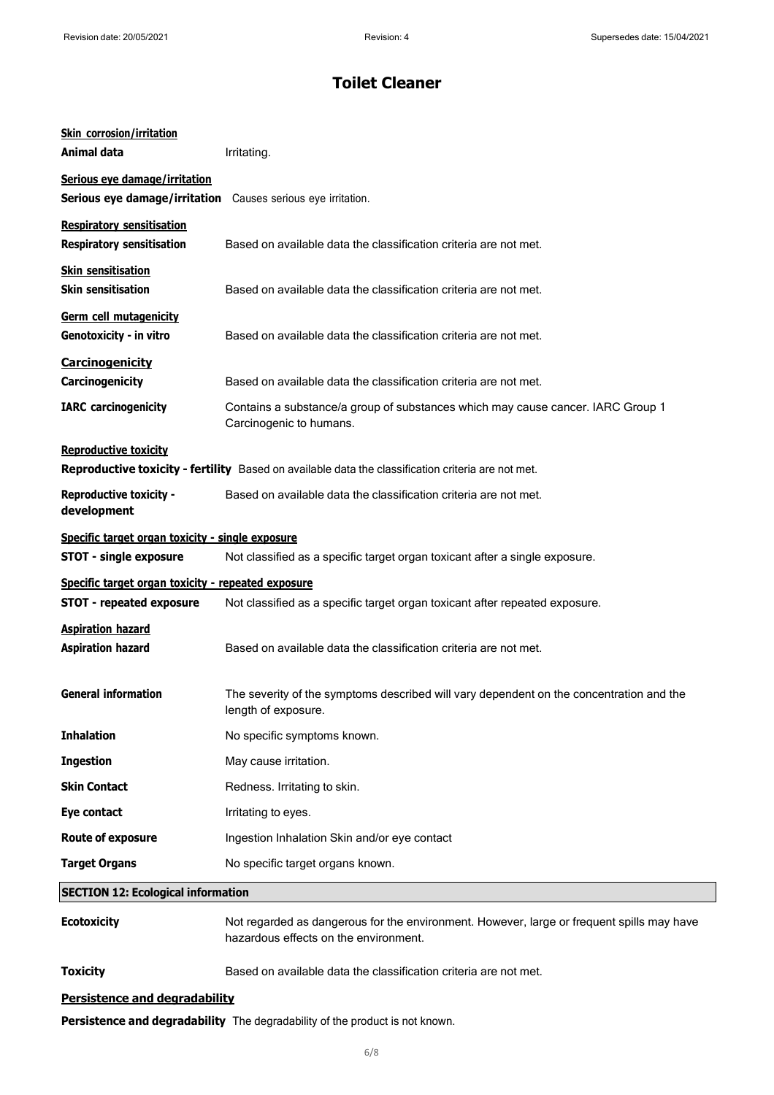| <b>Skin corrosion/irritation</b><br><b>Animal data</b>                            | Irritating.                                                                                                                        |
|-----------------------------------------------------------------------------------|------------------------------------------------------------------------------------------------------------------------------------|
| Serious eye damage/irritation<br>Serious eye damage/irritation                    | Causes serious eye irritation.                                                                                                     |
| <b>Respiratory sensitisation</b><br><b>Respiratory sensitisation</b>              | Based on available data the classification criteria are not met.                                                                   |
| <b>Skin sensitisation</b><br><b>Skin sensitisation</b>                            | Based on available data the classification criteria are not met.                                                                   |
| Germ cell mutagenicity<br>Genotoxicity - in vitro                                 | Based on available data the classification criteria are not met.                                                                   |
| <b>Carcinogenicity</b><br>Carcinogenicity                                         | Based on available data the classification criteria are not met.                                                                   |
| <b>IARC</b> carcinogenicity                                                       | Contains a substance/a group of substances which may cause cancer. IARC Group 1<br>Carcinogenic to humans.                         |
| <b>Reproductive toxicity</b>                                                      | Reproductive toxicity - fertility Based on available data the classification criteria are not met.                                 |
| <b>Reproductive toxicity -</b><br>development                                     | Based on available data the classification criteria are not met.                                                                   |
| Specific target organ toxicity - single exposure<br><b>STOT - single exposure</b> | Not classified as a specific target organ toxicant after a single exposure.                                                        |
| Specific target organ toxicity - repeated exposure                                |                                                                                                                                    |
| <b>STOT - repeated exposure</b>                                                   | Not classified as a specific target organ toxicant after repeated exposure.                                                        |
| <b>Aspiration hazard</b><br><b>Aspiration hazard</b>                              | Based on available data the classification criteria are not met.                                                                   |
| <b>General information</b>                                                        | The severity of the symptoms described will vary dependent on the concentration and the<br>length of exposure.                     |
| <b>Inhalation</b>                                                                 | No specific symptoms known.                                                                                                        |
| <b>Ingestion</b>                                                                  | May cause irritation.                                                                                                              |
| <b>Skin Contact</b>                                                               | Redness. Irritating to skin.                                                                                                       |
| Eye contact                                                                       | Irritating to eyes.                                                                                                                |
| <b>Route of exposure</b>                                                          | Ingestion Inhalation Skin and/or eye contact                                                                                       |
| <b>Target Organs</b>                                                              | No specific target organs known.                                                                                                   |
| <b>SECTION 12: Ecological information</b>                                         |                                                                                                                                    |
| <b>Ecotoxicity</b>                                                                | Not regarded as dangerous for the environment. However, large or frequent spills may have<br>hazardous effects on the environment. |
| <b>Toxicity</b>                                                                   | Based on available data the classification criteria are not met.                                                                   |
| Dersistence and degradability                                                     |                                                                                                                                    |

#### **Persistence and degradability**

**Persistence and degradability** The degradability of the product is not known.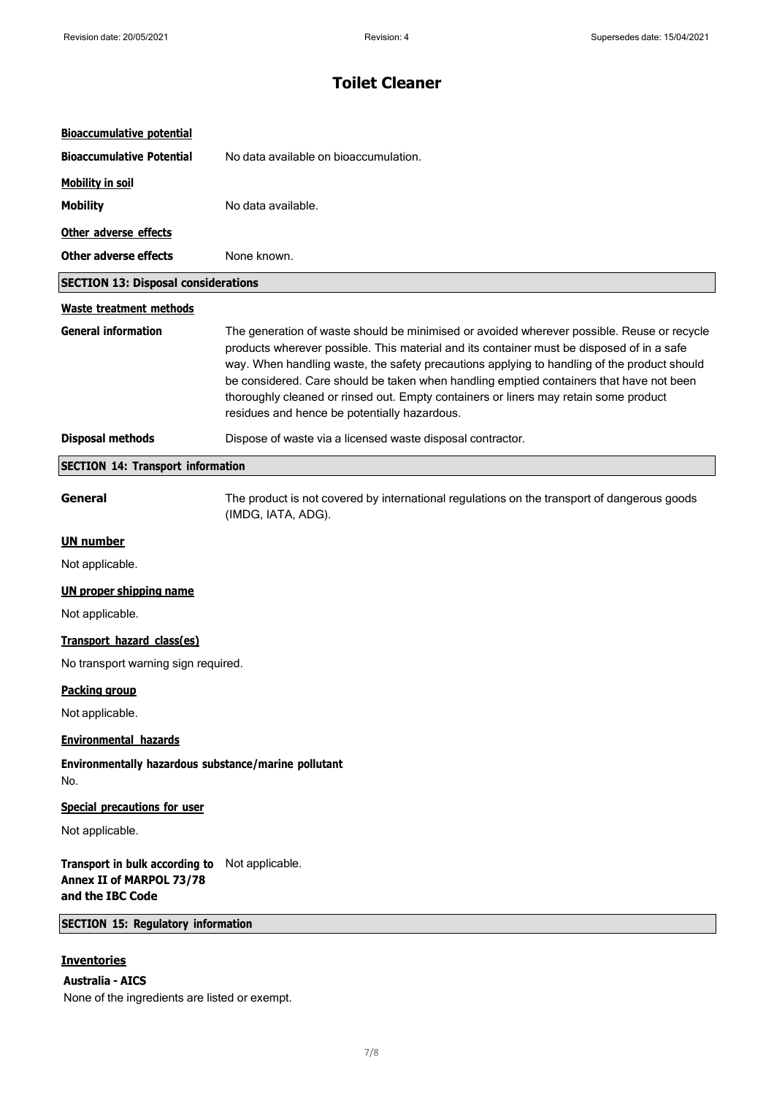| <b>Bioaccumulative potential</b>                                                               |                                                                                                                                                                                                                                                                                                                                                                                                                                                                                                                           |
|------------------------------------------------------------------------------------------------|---------------------------------------------------------------------------------------------------------------------------------------------------------------------------------------------------------------------------------------------------------------------------------------------------------------------------------------------------------------------------------------------------------------------------------------------------------------------------------------------------------------------------|
| <b>Bioaccumulative Potential</b>                                                               | No data available on bioaccumulation.                                                                                                                                                                                                                                                                                                                                                                                                                                                                                     |
| <b>Mobility in soil</b>                                                                        |                                                                                                                                                                                                                                                                                                                                                                                                                                                                                                                           |
| <b>Mobility</b>                                                                                | No data available.                                                                                                                                                                                                                                                                                                                                                                                                                                                                                                        |
| Other adverse effects                                                                          |                                                                                                                                                                                                                                                                                                                                                                                                                                                                                                                           |
| <b>Other adverse effects</b>                                                                   | None known.                                                                                                                                                                                                                                                                                                                                                                                                                                                                                                               |
| <b>SECTION 13: Disposal considerations</b>                                                     |                                                                                                                                                                                                                                                                                                                                                                                                                                                                                                                           |
| <b>Waste treatment methods</b>                                                                 |                                                                                                                                                                                                                                                                                                                                                                                                                                                                                                                           |
| <b>General information</b>                                                                     | The generation of waste should be minimised or avoided wherever possible. Reuse or recycle<br>products wherever possible. This material and its container must be disposed of in a safe<br>way. When handling waste, the safety precautions applying to handling of the product should<br>be considered. Care should be taken when handling emptied containers that have not been<br>thoroughly cleaned or rinsed out. Empty containers or liners may retain some product<br>residues and hence be potentially hazardous. |
| <b>Disposal methods</b>                                                                        | Dispose of waste via a licensed waste disposal contractor.                                                                                                                                                                                                                                                                                                                                                                                                                                                                |
| <b>SECTION 14: Transport information</b>                                                       |                                                                                                                                                                                                                                                                                                                                                                                                                                                                                                                           |
| General                                                                                        | The product is not covered by international regulations on the transport of dangerous goods<br>(IMDG, IATA, ADG).                                                                                                                                                                                                                                                                                                                                                                                                         |
| <b>UN number</b>                                                                               |                                                                                                                                                                                                                                                                                                                                                                                                                                                                                                                           |
| Not applicable.                                                                                |                                                                                                                                                                                                                                                                                                                                                                                                                                                                                                                           |
| <b>UN proper shipping name</b>                                                                 |                                                                                                                                                                                                                                                                                                                                                                                                                                                                                                                           |
| Not applicable.                                                                                |                                                                                                                                                                                                                                                                                                                                                                                                                                                                                                                           |
| Transport hazard class(es)                                                                     |                                                                                                                                                                                                                                                                                                                                                                                                                                                                                                                           |
| No transport warning sign required.                                                            |                                                                                                                                                                                                                                                                                                                                                                                                                                                                                                                           |
| <b>Packing group</b>                                                                           |                                                                                                                                                                                                                                                                                                                                                                                                                                                                                                                           |
| Not applicable.                                                                                |                                                                                                                                                                                                                                                                                                                                                                                                                                                                                                                           |
| <b>Environmental hazards</b>                                                                   |                                                                                                                                                                                                                                                                                                                                                                                                                                                                                                                           |
| Environmentally hazardous substance/marine pollutant<br>No.                                    |                                                                                                                                                                                                                                                                                                                                                                                                                                                                                                                           |
| <b>Special precautions for user</b>                                                            |                                                                                                                                                                                                                                                                                                                                                                                                                                                                                                                           |
| Not applicable.                                                                                |                                                                                                                                                                                                                                                                                                                                                                                                                                                                                                                           |
| Transport in bulk according to Not applicable.<br>Annex II of MARPOL 73/78<br>and the IBC Code |                                                                                                                                                                                                                                                                                                                                                                                                                                                                                                                           |
| <b>SECTION 15: Regulatory information</b>                                                      |                                                                                                                                                                                                                                                                                                                                                                                                                                                                                                                           |
| <b>Inventories</b>                                                                             |                                                                                                                                                                                                                                                                                                                                                                                                                                                                                                                           |
| <b>Australia - AICS</b>                                                                        |                                                                                                                                                                                                                                                                                                                                                                                                                                                                                                                           |

None of the ingredients are listed or exempt.